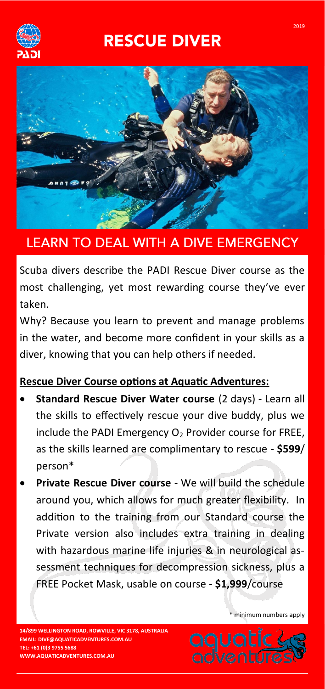# **RESCUE DIVER**





## **LEARN TO DEAL WITH A DIVE EMERGENCY**

Scuba divers describe the PADI Rescue Diver course as the most challenging, yet most rewarding course they've ever taken.

Why? Because you learn to prevent and manage problems in the water, and become more confident in your skills as a diver, knowing that you can help others if needed.

### **Rescue Diver Course options at Aquatic Adventures:**

- **Standard Rescue Diver Water course** (2 days) Learn all the skills to effectively rescue your dive buddy, plus we include the PADI Emergency  $O<sub>2</sub>$  Provider course for FREE, as the skills learned are complimentary to rescue - **\$599**/ person\*
- **Private Rescue Diver course**  We will build the schedule around you, which allows for much greater flexibility. In addition to the training from our Standard course the Private version also includes extra training in dealing with hazardous marine life injuries & in neurological assessment techniques for decompression sickness, plus a FREE Pocket Mask, usable on course - **\$1,999**/course

\* minimum numbers apply